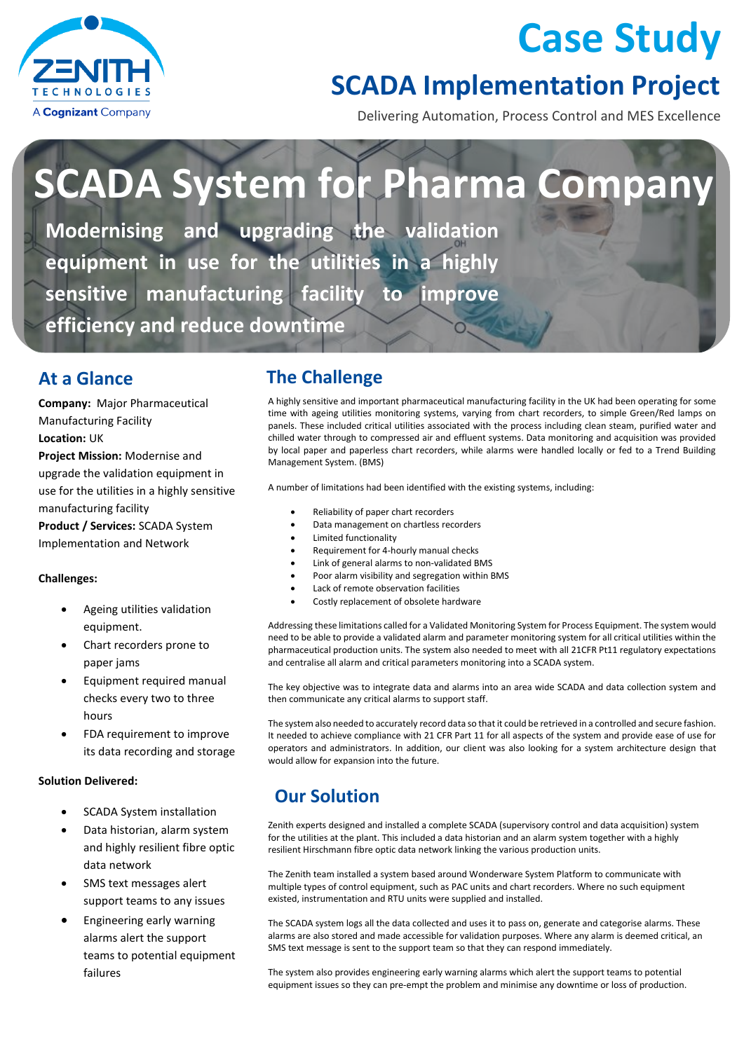

## **Case Study**

### **SCADA Implementation Project**

Delivering Automation, Process Control and MES Excellence

# **SCADA System for Pharma Company**

**Modernising and upgrading the validation equipment in use for the utilities in a highly sensitive manufacturing facility to improve efficiency and reduce downtime**

#### **At a Glance**

**Company:** Major Pharmaceutical Manufacturing Facility **Location:** UK **Project Mission:** Modernise and upgrade the validation equipment in use for the utilities in a highly sensitive manufacturing facility

**Product / Services:** SCADA System Implementation and Network

#### **Challenges:**

- Ageing utilities validation equipment.
- Chart recorders prone to paper jams
- Equipment required manual checks every two to three hours
- FDA requirement to improve its data recording and storage

#### **Solution Delivered:**

- SCADA System installation
- Data historian, alarm system and highly resilient fibre optic data network
- SMS text messages alert support teams to any issues
- Engineering early warning alarms alert the support teams to potential equipment failures

#### **The Challenge**

A highly sensitive and important pharmaceutical manufacturing facility in the UK had been operating for some time with ageing utilities monitoring systems, varying from chart recorders, to simple Green/Red lamps on panels. These included critical utilities associated with the process including clean steam, purified water and chilled water through to compressed air and effluent systems. Data monitoring and acquisition was provided by local paper and paperless chart recorders, while alarms were handled locally or fed to a Trend Building Management System. (BMS)

A number of limitations had been identified with the existing systems, including:

- Reliability of paper chart recorders
- Data management on chartless recorders
- Limited functionality
- Requirement for 4-hourly manual checks
- Link of general alarms to non-validated BMS
- Poor alarm visibility and segregation within BMS
- Lack of remote observation facilities
- Costly replacement of obsolete hardware

Addressing these limitations called for a Validated Monitoring System for Process Equipment. The system would need to be able to provide a validated alarm and parameter monitoring system for all critical utilities within the pharmaceutical production units. The system also needed to meet with all 21CFR Pt11 regulatory expectations and centralise all alarm and critical parameters monitoring into a SCADA system.

The key objective was to integrate data and alarms into an area wide SCADA and data collection system and then communicate any critical alarms to support staff.

The system also needed to accurately record data so that it could be retrieved in a controlled and secure fashion. It needed to achieve compliance with 21 CFR Part 11 for all aspects of the system and provide ease of use for operators and administrators. In addition, our client was also looking for a system architecture design that would allow for expansion into the future.

#### **Our Solution**

Zenith experts designed and installed a complete SCADA (supervisory control and data acquisition) system for the utilities at the plant. This included a data historian and an alarm system together with a highly resilient Hirschmann fibre optic data network linking the various production units.

The Zenith team installed a system based around Wonderware System Platform to communicate with multiple types of control equipment, such as PAC units and chart recorders. Where no such equipment existed, instrumentation and RTU units were supplied and installed.

The SCADA system logs all the data collected and uses it to pass on, generate and categorise alarms. These alarms are also stored and made accessible for validation purposes. Where any alarm is deemed critical, an SMS text message is sent to the support team so that they can respond immediately.

The system also provides engineering early warning alarms which alert the support teams to potential equipment issues so they can pre-empt the problem and minimise any downtime or loss of production.